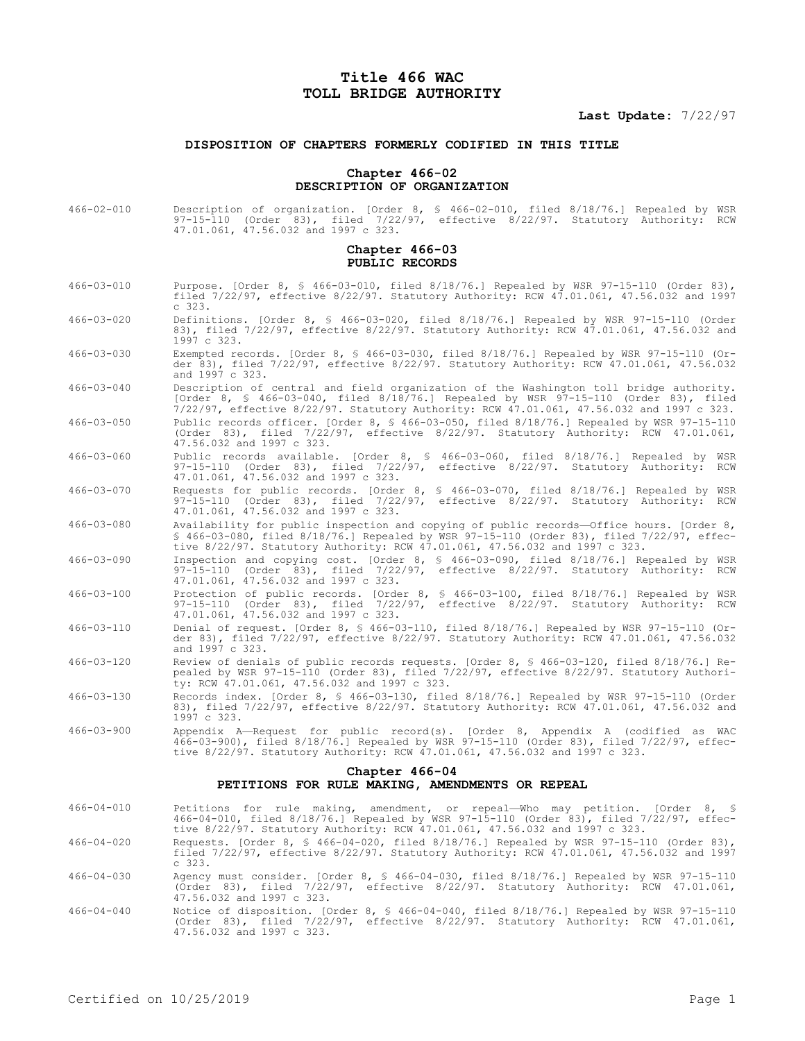# **Title 466 WAC TOLL BRIDGE AUTHORITY**

## **Last Update:** 7/22/97

## **DISPOSITION OF CHAPTERS FORMERLY CODIFIED IN THIS TITLE**

#### **Chapter 466-02 DESCRIPTION OF ORGANIZATION**

466-02-010 Description of organization. [Order 8, § 466-02-010, filed 8/18/76.] Repealed by WSR 97-15-110 (Order 83), filed 7/22/97, effective 8/22/97. Statutory Authority: RCW 47.01.061, 47.56.032 and 1997 c 323.

#### **Chapter 466-03 PUBLIC RECORDS**

- 466-03-010 Purpose. [Order 8, § 466-03-010, filed 8/18/76.] Repealed by WSR 97-15-110 (Order 83), filed 7/22/97, effective 8/22/97. Statutory Authority: RCW 47.01.061, 47.56.032 and 1997 c 323. 466-03-020 Definitions. [Order 8, § 466-03-020, filed 8/18/76.] Repealed by WSR 97-15-110 (Order 83), filed 7/22/97, effective 8/22/97. Statutory Authority: RCW 47.01.061, 47.56.032 and 1997 c 323. 466-03-030 Exempted records. [Order 8, § 466-03-030, filed 8/18/76.] Repealed by WSR 97-15-110 (Or-
- der 83), filed 7/22/97, effective 8/22/97. Statutory Authority: RCW 47.01.061, 47.56.032 and 1997 c 323.
- 466-03-040 Description of central and field organization of the Washington toll bridge authority. [Order 8, § 466-03-040, filed 8/18/76.] Repealed by WSR 97-15-110 (Order 83), filed 7/22/97, effective 8/22/97. Statutory Authority: RCW 47.01.061, 47.56.032 and 1997 c 323.
- 466-03-050 Public records officer. [Order 8, § 466-03-050, filed 8/18/76.] Repealed by WSR 97-15-110 (Order 83), filed 7/22/97, effective 8/22/97. Statutory Authority: RCW 47.01.061, 47.56.032 and 1997 c 323.
- 466-03-060 Public records available. [Order 8, § 466-03-060, filed 8/18/76.] Repealed by WSR 97-15-110 (Order 83), filed 7/22/97, effective 8/22/97. Statutory Authority: RCW 47.01.061, 47.56.032 and 1997 c 323.
- 466-03-070 Requests for public records. [Order 8, § 466-03-070, filed 8/18/76.] Repealed by WSR 97-15-110 (Order 83), filed 7/22/97, effective 8/22/97. Statutory Authority: RCW 47.01.061, 47.56.032 and 1997 c 323.
- 466-03-080 Availability for public inspection and copying of public records—Office hours. [Order 8, § 466-03-080, filed 8/18/76.] Repealed by WSR 97-15-110 (Order 83), filed 7/22/97, effective 8/22/97. Statutory Authority: RCW 47.01.061, 47.56.032 and 1997 c 323.
- 466-03-090 Inspection and copying cost. [Order 8, § 466-03-090, filed 8/18/76.] Repealed by WSR 97-15-110 (Order 83), filed 7/22/97, effective 8/22/97. Statutory Authority: RCW 47.01.061, 47.56.032 and 1997 c 323.
- 466-03-100 Protection of public records. [Order 8, § 466-03-100, filed 8/18/76.] Repealed by WSR 97-15-110 (Order 83), filed 7/22/97, effective 8/22/97. Statutory Authority: RCW 47.01.061, 47.56.032 and 1997 c 323.
- 466-03-110 Denial of request. [Order 8, § 466-03-110, filed 8/18/76.] Repealed by WSR 97-15-110 (Order 83), filed 7/22/97, effective 8/22/97. Statutory Authority: RCW 47.01.061, 47.56.032 and 1997 c 323.
- 466-03-120 Review of denials of public records requests. [Order 8, § 466-03-120, filed 8/18/76.] Repealed by WSR 97-15-110 (Order 83), filed 7/22/97, effective 8/22/97. Statutory Authority: RCW 47.01.061, 47.56.032 and 1997 c 323.
- 466-03-130 Records index. [Order 8, § 466-03-130, filed 8/18/76.] Repealed by WSR 97-15-110 (Order 83), filed 7/22/97, effective 8/22/97. Statutory Authority: RCW 47.01.061, 47.56.032 and 1997 c 323.
- 466-03-900 Appendix A—Request for public record(s). [Order 8, Appendix A (codified as WAC 466-03-900), filed 8/18/76.] Repealed by WSR 97-15-110 (Order 83), filed 7/22/97, effective 8/22/97. Statutory Authority: RCW 47.01.061, 47.56.032 and 1997 c 323.

## **Chapter 466-04**

### **PETITIONS FOR RULE MAKING, AMENDMENTS OR REPEAL**

- 466-04-010 Petitions for rule making, amendment, or repeal—Who may petition. [Order 8, § 466-04-010, filed 8/18/76.] Repealed by WSR 97-15-110 (Order 83), filed 7/22/97, effective 8/22/97. Statutory Authority: RCW 47.01.061, 47.56.032 and 1997 c 323.
- 466-04-020 Requests. [Order 8, § 466-04-020, filed 8/18/76.] Repealed by WSR 97-15-110 (Order 83), filed 7/22/97, effective 8/22/97. Statutory Authority: RCW 47.01.061, 47.56.032 and 1997 c 323.
- 466-04-030 Agency must consider. [Order 8, § 466-04-030, filed 8/18/76.] Repealed by WSR 97-15-110 (Order 83), filed 7/22/97, effective 8/22/97. Statutory Authority: RCW 47.01.061, 47.56.032 and 1997 c 323.
- 466-04-040 Notice of disposition. [Order 8, § 466-04-040, filed 8/18/76.] Repealed by WSR 97-15-110 (Order 83), filed 7/22/97, effective 8/22/97. Statutory Authority: RCW 47.01.061, 47.56.032 and 1997 c 323.